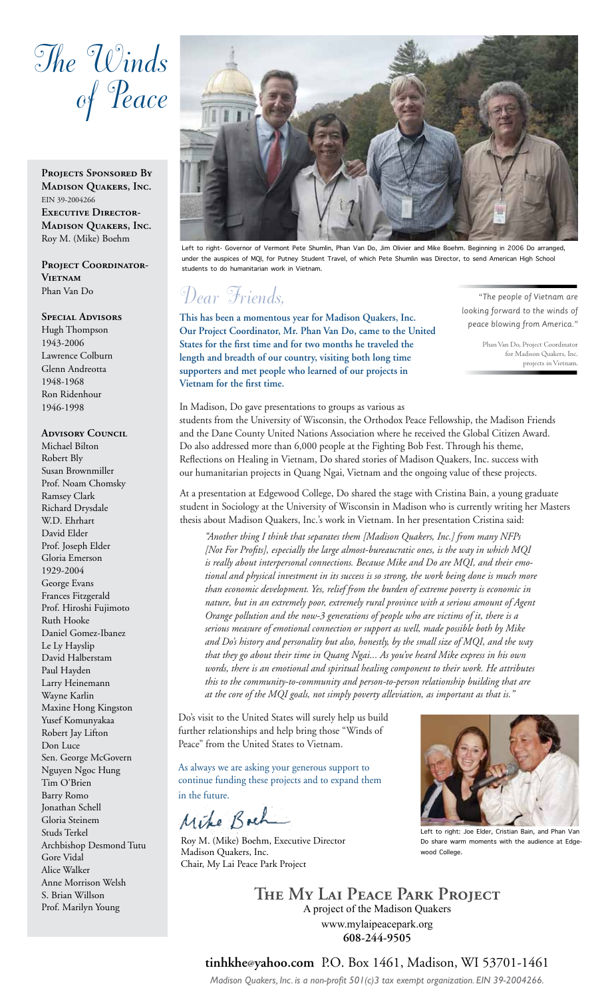# *The Winds of Peace*

PROJECTS SPONSORED BY **Madison Quakers, Inc.** EIN 39-2004266 **Executive Director-Madison Quakers, Inc.**  Roy M. (Mike) Boehm

PROJECT COORDINATOR-**Vietnam** Phan Van Do

#### **Special Advisors**

Hugh Thompson 1943-2006 Lawrence Colburn Glenn Andreotta 1948-1968 Ron Ridenhour 1946-1998

#### **ADVISORY COUNCIL**

Michael Bilton Robert Bly Susan Brownmiller Prof. Noam Chomsky Ramsey Clark Richard Drysdale W.D. Ehrhart David Elder Prof. Joseph Elder Gloria Emerson 1929-2004 George Evans Frances Fitzgerald Prof. Hiroshi Fujimoto Ruth Hooke Daniel Gomez-Ibanez Le Ly Hayslip David Halberstam Paul Hayden Larry Heinemann Wayne Karlin Maxine Hong Kingston Yusef Komunyakaa Robert Jay Lifton Don Luce Sen. George McGovern Nguyen Ngoc Hung Tim O'Brien Barry Romo Jonathan Schell Gloria Steinem Studs Terkel Archbishop Desmond Tutu Gore Vidal Alice Walker Anne Morrison Welsh S. Brian Willson Prof. Marilyn Young



Left to right- Governor of Vermont Pete Shumlin, Phan Van Do, Jim Olivier and Mike Boehm. Beginning in 2006 Do arranged, under the auspices of MQI, for Putney Student Travel, of which Pete Shumlin was Director, to send American High School students to do humanitarian work in Vietnam.

### *Dear Friends,*

**This has been a momentous year for Madison Quakers, Inc. Our Project Coordinator, Mr. Phan Van Do, came to the United States for the first time and for two months he traveled the length and breadth of our country, visiting both long time supporters and met people who learned of our projects in Vietnam for the first time.** 

*"The people of Vietnam are looking forward to the winds of peace blowing from America."* 

> Phan Van Do, Project Coordinator for Madison Quakers, Inc. projects in Vietnam.

In Madison, Do gave presentations to groups as various as students from the University of Wisconsin, the Orthodox Peace Fellowship, the Madison Friends and the Dane County United Nations Association where he received the Global Citizen Award. Do also addressed more than 6,000 people at the Fighting Bob Fest. Through his theme, Reflections on Healing in Vietnam, Do shared stories of Madison Quakers, Inc. success with our humanitarian projects in Quang Ngai, Vietnam and the ongoing value of these projects.

At a presentation at Edgewood College, Do shared the stage with Cristina Bain, a young graduate student in Sociology at the University of Wisconsin in Madison who is currently writing her Masters thesis about Madison Quakers, Inc.'s work in Vietnam. In her presentation Cristina said:

*"Another thing I think that separates them [Madison Quakers, Inc.] from many NFPs [Not For Profits], especially the large almost-bureaucratic ones, is the way in which MQI is really about interpersonal connections. Because Mike and Do are MQI, and their emotional and physical investment in its success is so strong, the work being done is much more than economic development. Yes, relief from the burden of extreme poverty is economic in nature, but in an extremely poor, extremely rural province with a serious amount of Agent Orange pollution and the now-3 generations of people who are victims of it, there is a serious measure of emotional connection or support as well, made possible both by Mike and Do's history and personality but also, honestly, by the small size of MQI, and the way that they go about their time in Quang Ngai... As you've heard Mike express in his own words, there is an emotional and spiritual healing component to their work. He attributes this to the community-to-community and person-to-person relationship building that are at the core of the MQI goals, not simply poverty alleviation, as important as that is."* 

Do's visit to the United States will surely help us build further relationships and help bring those "Winds of Peace" from the United States to Vietnam.

As always we are asking your generous support to continue funding these projects and to expand them in the future.

Mike Bach

Roy M. (Mike) Boehm, Executive Director Madison Quakers, Inc. Chair, My Lai Peace Park Project



Left to right: Joe Elder, Cristian Bain, and Phan Van Do share warm moments with the audience at Edgewood College.

**The My Lai Peace Park Project** A project of the Madison Quakers www.mylaipeacepark.org **608-244-9505**

**tinhkhe@yahoo.com** P.O. Box 1461, Madison, WI 53701-1461

*Madison Quakers, Inc. is a non-profit 501(c)3 tax exempt organization. EIN 39-2004266.*